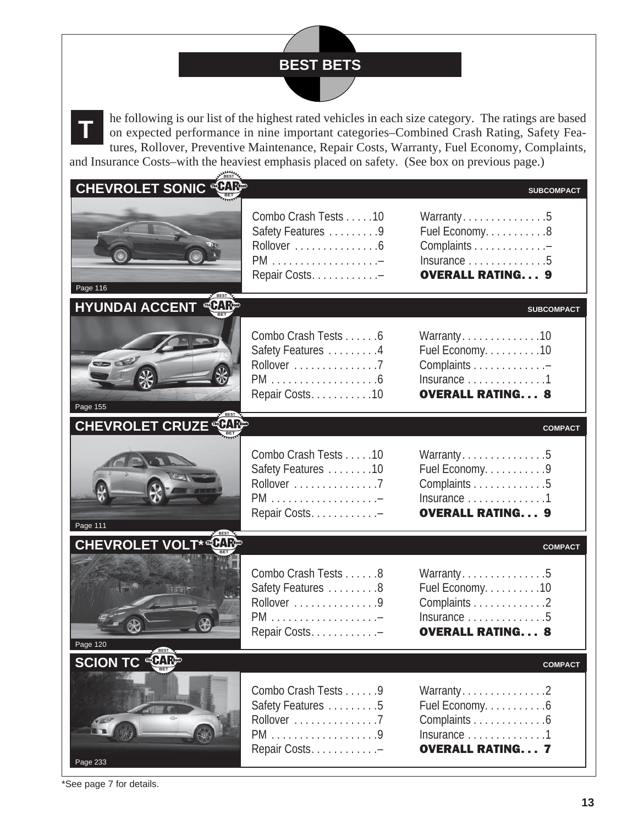## **BEST BETS**



he following is our list of the highest rated vehicles in each size category. The ratings are based on expected performance in nine important categories–Combined Crash Rating, Safety Features, Rollover, Preventive Maintenance, Repair Costs, Warranty, Fuel Economy, Complaints, and Insurance Costs–with the heaviest emphasis placed on safety. (See box on previous page.)

| <b>CHEVROLET SONIC CHIP</b>              |                                                                             | <b>SUBCOMPACT</b>                                                                                                  |
|------------------------------------------|-----------------------------------------------------------------------------|--------------------------------------------------------------------------------------------------------------------|
| Page 116                                 | Combo Crash Tests 10<br>Safety Features 9<br>Rollover 6<br>Repair Costs. -  | Warranty5<br>Fuel Economy. 8<br>Complaints -<br>Insurance $\dots\dots\dots\dots\dots5$<br><b>OVERALL RATING 9</b>  |
| <b>Le CARGO</b><br><b>HYUNDAI ACCENT</b> |                                                                             | <b>SUBCOMPACT</b>                                                                                                  |
| 50<br>Page 155                           | Combo Crash Tests 6<br>Safety Features 4<br>Rollover 7<br>Repair Costs. 10  | Warranty10<br>Fuel Economy. 10<br>Complaints -<br>Insurance 1<br><b>OVERALL RATING 8</b>                           |
| <b>CHEVROLET CRUZE CARE</b>              |                                                                             | <b>COMPACT</b>                                                                                                     |
| Page 111                                 | Combo Crash Tests 10<br>Safety Features 10<br>Rollover 7<br>Repair Costs. - | Warranty5<br>Fuel Economy. 9<br>Complaints 5<br>Insurance 1<br><b>OVERALL RATING 9</b>                             |
| <b>CHEVROLET VOLT* CARE</b>              |                                                                             | <b>COMPACT</b>                                                                                                     |
| <b>Wisch</b><br>Page 120                 | Combo Crash Tests 8<br>Safety Features 8<br>Rollover 9<br>Repair Costs      | Warranty5<br>Fuel Economy. 10<br>Complaints 2<br>Insurance $\dots\dots\dots\dots\dots5$<br><b>OVERALL RATING 8</b> |
| <b>SCION TC CARE</b>                     |                                                                             | <b>COMPACT</b>                                                                                                     |
| Page 233                                 | Combo Crash Tests 9<br>Safety Features 5<br>Rollover 7<br>Repair Costs. -   | Warranty2<br>Fuel Economy. 6<br>Complaints 6<br>Insurance 1<br><b>OVERALL RATING 7</b>                             |

\*See page 7 for details.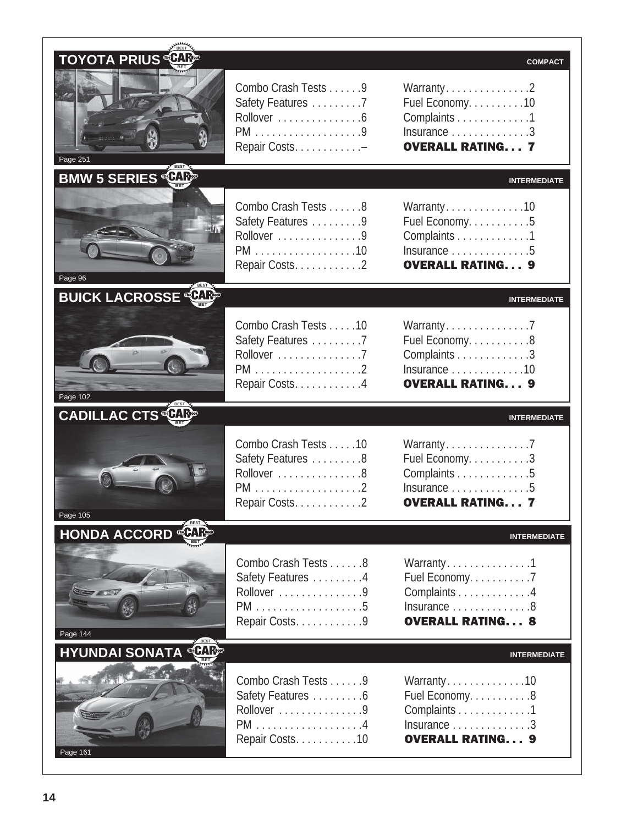| <b>TOYOTA PRIUS CARP</b><br>Page 251   | Combo Crash Tests 9<br>Safety Features 7<br>Rollover 6<br>Repair Costs. -          | <b>COMPACT</b><br>Warranty2<br>Fuel Economy. 10<br>Complaints 1<br>Insurance 3<br><b>OVERALL RATING 7</b>           |
|----------------------------------------|------------------------------------------------------------------------------------|---------------------------------------------------------------------------------------------------------------------|
| <b>BMW 5 SERIES CARE</b>               |                                                                                    | <b>INTERMEDIATE</b>                                                                                                 |
| Page 96                                | Combo Crash Tests 8<br>Safety Features 9<br>Rollover 9<br>PM 10<br>Repair Costs. 2 | Warranty10<br>Fuel Economy. 5<br>Complaints 1<br>Insurance $\dots\dots\dots\dots\dots5$<br><b>OVERALL RATING 9</b>  |
| <b>BUICK LACROSSE CARE</b>             |                                                                                    | <b>INTERMEDIATE</b>                                                                                                 |
| Page 102                               | Combo Crash Tests 10<br>Safety Features 7<br>Rollover 7<br>Repair Costs. 4         | Warranty7<br>Fuel Economy. 8<br>Complaints 3<br>Insurance 10<br><b>OVERALL RATING 9</b>                             |
| <b>CADILLAC CTS CARE</b>               |                                                                                    | <b>INTERMEDIATE</b>                                                                                                 |
| Page 105                               | Combo Crash Tests 10<br>Safety Features 8<br>Rollover 8<br>Repair Costs2           | Warranty7<br>Fuel Economy. 3<br>Complaints 5<br>Insurance $\dots\dots\dots\dots\dots5$<br><b>OVERALL RATING 7</b>   |
| <b>HONDA ACCORD CARE</b>               |                                                                                    | <b>INTERMEDIATE</b>                                                                                                 |
| Page 144                               | Combo Crash Tests 8<br>Safety Features 4<br>Rollover 9<br>Repair Costs. 9          | Warranty1<br>Fuel Economy. 7<br>Complaints 4<br>Insurance $\dots\dots\dots\dots$ 8<br><b>OVERALL RATING 8</b>       |
| <b>COARGO</b><br><b>HYUNDAI SONATA</b> |                                                                                    | <b>INTERMEDIATE</b>                                                                                                 |
|                                        | Combo Crash Tests 9<br>Safety Features 6<br>Rollover 9<br>Repair Costs10           | Warranty10<br>Fuel Economy. 8<br>Complaints 1<br>Insurance $\dots\dots\dots\dots\dots$ 3<br><b>OVERALL RATING 9</b> |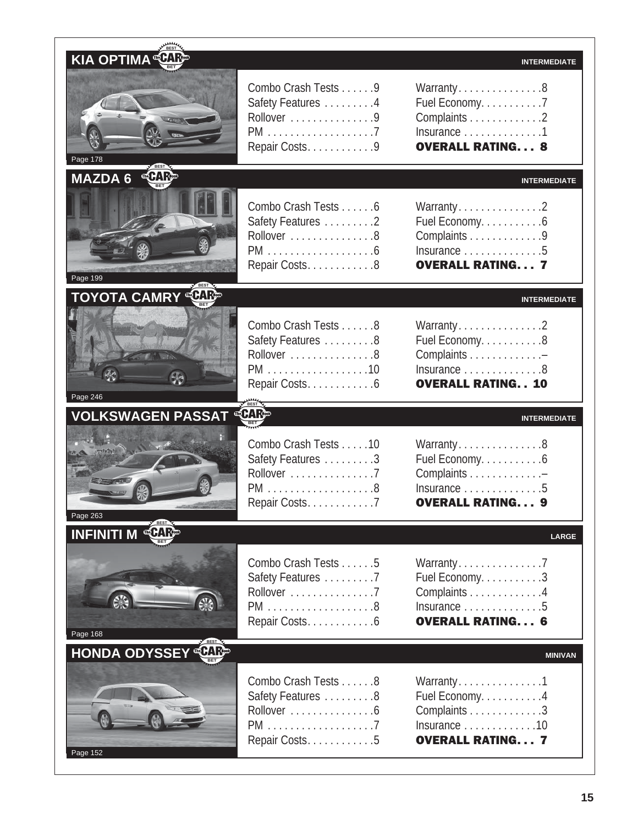| KIA OPTIMA <b>CHIP</b>               |                                                                                    | <b>INTERMEDIATE</b>                                                                                               |
|--------------------------------------|------------------------------------------------------------------------------------|-------------------------------------------------------------------------------------------------------------------|
| Page 178                             | Combo Crash Tests 9<br>Safety Features 4<br>Rollover 9<br>Repair Costs. 9          | Warranty8<br>Fuel Economy. 7<br>Complaints 2<br>Insurance 1<br><b>OVERALL RATING 8</b>                            |
| MAZDA 6 CHIP<br>Page 199             | Combo Crash Tests 6<br>Safety Features 2<br>Rollover 8<br>Repair Costs. 8          | <b>INTERMEDIATE</b><br>Warranty2<br>Fuel Economy. 6<br>Complaints 9<br>Insurance 5<br><b>OVERALL RATING 7</b>     |
| <b>TOYOTA CAMRY</b>                  |                                                                                    | <b>INTERMEDIATE</b>                                                                                               |
| H3<br>Page 246                       | Combo Crash Tests 8<br>Safety Features 8<br>Rollover 8<br>PM 10<br>Repair Costs. 6 | Warranty2<br>Fuel Economy. 8<br>Complaints -<br>Insurance $\dots\dots\dots\dots 8$<br><b>OVERALL RATING 10</b>    |
|                                      |                                                                                    |                                                                                                                   |
| <b>VOLKSWAGEN PASSAT</b>             |                                                                                    | <b>INTERMEDIATE</b>                                                                                               |
| Page 263                             | Combo Crash Tests 10<br>Safety Features 3<br>Rollover 7<br>Repair Costs7           | Warranty8<br>Fuel Economy. 6<br>Complaints -<br>Insurance 5<br><b>OVERALL RATING 9</b>                            |
| <b>INFINITI M CARE</b>               |                                                                                    | <b>LARGE</b>                                                                                                      |
| Page 168                             | Combo Crash Tests 5<br>Safety Features 7<br>Rollover 7<br>Repair Costs. 6          | Warranty7<br>Fuel Economy. 3<br>Complaints 4<br>Insurance $\dots\dots\dots\dots\dots5$<br><b>OVERALL RATING 6</b> |
| <b>CARGO</b><br><b>HONDA ODYSSEY</b> |                                                                                    | <b>MINIVAN</b>                                                                                                    |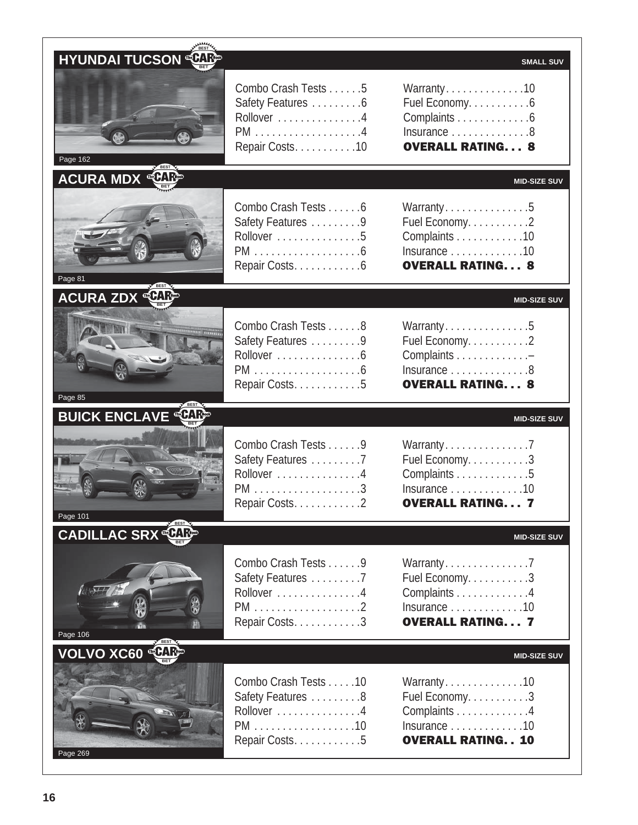| <b>HYUNDAI TUCSON CHICA</b> |                                                                            |                                                                                                                                        |
|-----------------------------|----------------------------------------------------------------------------|----------------------------------------------------------------------------------------------------------------------------------------|
| Page 162                    | Combo Crash Tests 5<br>Safety Features 6<br>Rollover 4<br>Repair Costs. 10 | <b>SMALL SUV</b><br>Warranty10<br>Fuel Economy. 6<br>Complaints 6<br>Insurance $\dots\dots\dots\dots\dots8$<br><b>OVERALL RATING 8</b> |
| <b>ACURA MDX</b>            |                                                                            | <b>MID-SIZE SUV</b>                                                                                                                    |
| Page 81                     | Combo Crash Tests 6<br>Safety Features 9<br>Rollover 5<br>Repair Costs. 6  | Warranty5<br>Fuel Economy. 2<br>Complaints 10<br>Insurance 10<br><b>OVERALL RATING 8</b>                                               |
| <b>ACURA ZDX</b>            |                                                                            | <b>MID-SIZE SUV</b>                                                                                                                    |
| Page 85                     | Combo Crash Tests 8<br>Safety Features 9<br>Rollover 6<br>Repair Costs. 5  | Warranty5<br>Fuel Economy. 2<br>Complaints -<br>Insurance $\dots\dots\dots\dots\dots8$<br><b>OVERALL RATING 8</b>                      |
| <b>BUICK ENCLAVE CAPP</b>   |                                                                            | <b>MID-SIZE SUV</b>                                                                                                                    |
| Page 101                    | Combo Crash Tests 9<br>Safety Features 7<br>Rollover 4<br>Repair Costs. 2  | Warranty7<br>Fuel Economy. 3<br>Complaints 5<br>Insurance 10<br><b>OVERALL RATING 7</b>                                                |
| <b>CADILLAC SRX</b>         |                                                                            | <b>MID-SIZE SUV</b>                                                                                                                    |
| Page 106                    | Combo Crash Tests 9<br>Safety Features 7<br>Rollover 4<br>Repair Costs. 3  | Warranty7<br>Fuel Economy. 3<br>Complaints 4<br>Insurance $\dots\dots\dots\dots\dots$ 10<br><b>OVERALL RATING 7</b>                    |
| VOLVO XC60 LARE             |                                                                            | <b>MID-SIZE SUV</b>                                                                                                                    |
|                             | Combo Crash Tests 10<br>Safety Features 8                                  | Warranty10<br>Fuel Economy. 3                                                                                                          |